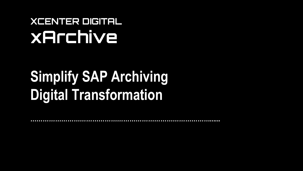## **XCENTER DIGITAL xArchive**

# **Simplify SAP Archiving Digital Transformation**

*……………………………………………………………………………......*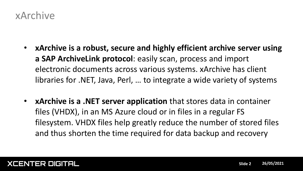### xArchive

- **xArchive is a robust, secure and highly efficient archive server using a SAP ArchiveLink protocol**: easily scan, process and import electronic documents across various systems. xArchive has client libraries for .NET, Java, Perl, … to integrate a wide variety of systems
- **xArchive is a .NET server application** that stores data in container files (VHDX), in an MS Azure cloud or in files in a regular FS filesystem. VHDX files help greatly reduce the number of stored files and thus shorten the time required for data backup and recovery

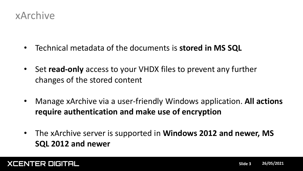

- Technical metadata of the documents is **stored in MS SQL**
- Set **read-only** access to your VHDX files to prevent any further changes of the stored content
- Manage xArchive via a user-friendly Windows application. **All actions require authentication and make use of encryption**
- The xArchive server is supported in **Windows 2012 and newer, MS SQL 2012 and newer**

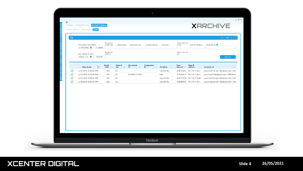|                    | <b>AUDIT</b><br>SYSTEM STATUS LIVE VIEW         |                         |                                  |                                 |                                  | <b>XARCHIVE</b>          |                                         |                              |                                                                                                |          |
|--------------------|-------------------------------------------------|-------------------------|----------------------------------|---------------------------------|----------------------------------|--------------------------|-----------------------------------------|------------------------------|------------------------------------------------------------------------------------------------|----------|
| ര                  |                                                 |                         |                                  |                                 |                                  |                          |                                         |                              | $\left  \bullet \right $ 100 $\left  \bullet \right $                                          |          |
|                    | Time stamp from (UTC)<br>2/19/2015 国   21:00:00 | Response<br>code from   | Repository                       | Document Id                     | Component Id                     | Function                 | Time elapsed<br>from                    | User IP address              | Request url <sup>0</sup>                                                                       |          |
|                    |                                                 | Response<br>code to     |                                  |                                 |                                  |                          | Time elapsed                            |                              |                                                                                                |          |
|                    | Time stamp to (UTC)<br>0:00:00<br>Select a d. 围 |                         |                                  |                                 |                                  |                          | to                                      |                              | Search                                                                                         |          |
|                    |                                                 |                         |                                  |                                 |                                  |                          |                                         |                              |                                                                                                |          |
|                    | $\frac{A}{2}$<br><b>Time stamp</b>              | Result<br>code $\cdots$ | Reposit<br>ory<br>$\sim$         | Document<br><b>Id</b><br>$\sim$ | Component<br><b>Id</b><br>$\sim$ | Function ---             | $\mathop{\mathsf{Time}}$<br>elapsed --- | User IP<br>address<br>$\sim$ | <b>Request url</b>                                                                             | $\cdots$ |
| $\odot$            | 2/19/2015 9:16:04 PM                            | 200                     | X2                               |                                 |                                  | serverinfo               |                                         | 0.0010001 10.178.115.51      | /xarchive?serverInfo&pVersion=00-                                                              |          |
| $\odot$            | 2/19/2015 9:15:00 PM                            | 200                     | X <sub>2</sub>                   | E4B86E71132B;                   |                                  | info                     |                                         | 0.2665413 10.178.115.51      | /xarchive?info&pVersion=0045&co                                                                |          |
| $\odot$<br>$\odot$ | 2/19/2015 9:09:38 PM<br>2/19/2015 9:05:58 PM    | 200<br>200              | X <sub>2</sub><br>X <sub>2</sub> |                                 |                                  | serverinfo<br>serverinfo |                                         | 0.0010019 10.178.115.56      | /xarchive?serverInfo&pVersion=00-<br>0.0009982 10.178.115.51 /xarchive?serverInfo&pVersion=00- |          |
|                    |                                                 |                         |                                  |                                 |                                  |                          |                                         |                              |                                                                                                |          |
|                    |                                                 |                         |                                  |                                 |                                  |                          |                                         |                              |                                                                                                |          |
|                    |                                                 |                         |                                  |                                 |                                  |                          |                                         |                              |                                                                                                |          |
|                    |                                                 |                         |                                  |                                 |                                  |                          |                                         |                              |                                                                                                |          |
|                    |                                                 |                         |                                  |                                 |                                  |                          |                                         |                              |                                                                                                |          |
|                    |                                                 |                         |                                  |                                 |                                  |                          |                                         |                              |                                                                                                |          |
|                    |                                                 |                         |                                  |                                 |                                  |                          |                                         |                              |                                                                                                |          |
|                    |                                                 |                         |                                  |                                 |                                  |                          |                                         |                              |                                                                                                |          |
|                    |                                                 |                         |                                  |                                 |                                  |                          |                                         |                              |                                                                                                |          |

#### **XCENTER DIGITAL Slide 4 26/05/2021**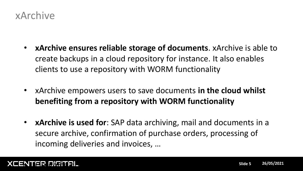

- **xArchive ensures reliable storage of documents**. xArchive is able to create backups in a cloud repository for instance. It also enables clients to use a repository with WORM functionality
- xArchive empowers users to save documents **in the cloud whilst benefiting from a repository with WORM functionality**
- **xArchive is used for**: SAP data archiving, mail and documents in a secure archive, confirmation of purchase orders, processing of incoming deliveries and invoices, …

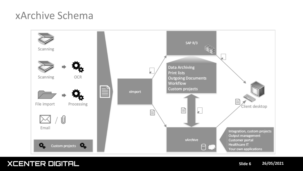## xArchive Schema



#### **XCENTER DIGITAL Slide 6 26/05/2021**